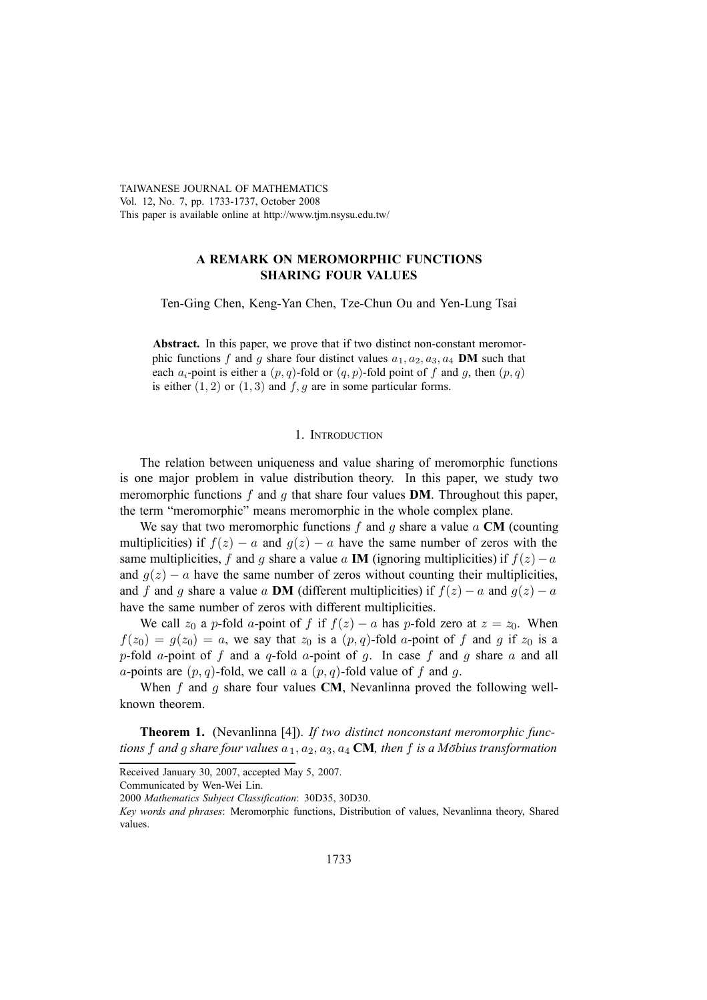TAIWANESE JOURNAL OF MATHEMATICS Vol. 12, No. 7, pp. 1733-1737, October 2008 This paper is available online at http://www.tjm.nsysu.edu.tw/

# **A REMARK ON MEROMORPHIC FUNCTIONS SHARING FOUR VALUES**

Ten-Ging Chen, Keng-Yan Chen, Tze-Chun Ou and Yen-Lung Tsai

**Abstract.** In this paper, we prove that if two distinct non-constant meromorphic functions f and g share four distinct values  $a_1, a_2, a_3, a_4$  **DM** such that each  $a_i$ -point is either a  $(p, q)$ -fold or  $(q, p)$ -fold point of f and g, then  $(p, q)$ is either  $(1, 2)$  or  $(1, 3)$  and  $f, g$  are in some particular forms.

## 1. INTRODUCTION

The relation between uniqueness and value sharing of meromorphic functions is one major problem in value distribution theory. In this paper, we study two meromorphic functions *f* and *g* that share four values **DM**. Throughout this paper, the term "meromorphic" means meromorphic in the whole complex plane.

We say that two meromorphic functions *f* and *g* share a value *a* **CM** (counting multiplicities) if  $f(z) - a$  and  $g(z) - a$  have the same number of zeros with the same multiplicities, *f* and *q* share a value *a* **IM** (ignoring multiplicities) if  $f(z) - a$ and  $g(z) - a$  have the same number of zeros without counting their multiplicities, and *f* and *g* share a value *a* **DM** (different multiplicities) if  $f(z) - a$  and  $g(z) - a$ have the same number of zeros with different multiplicities.

We call  $z_0$  a *p*-fold *a*-point of *f* if  $f(z) - a$  has *p*-fold zero at  $z = z_0$ . When  $f(z_0) = g(z_0) = a$ , we say that  $z_0$  is a  $(p, q)$ -fold *a*-point of *f* and *g* if  $z_0$  is a *p*-fold *a*-point of *f* and a *q*-fold *a*-point of *g*. In case *f* and *g* share *a* and all *a*-points are  $(p, q)$ -fold, we call *a* a  $(p, q)$ -fold value of *f* and *g*.

When *f* and *g* share four values **CM**, Nevanlinna proved the following wellknown theorem.

**Theorem 1.** (Nevanlinna [4]). *If two distinct nonconstant meromorphic functions f* and *g share four values*  $a_1, a_2, a_3, a_4$  **CM***, then f is a Mobius transformation* 

Received January 30, 2007, accepted May 5, 2007.

Communicated by Wen-Wei Lin.

2000 *Mathematics Subject Classification*: 30D35, 30D30.

*Key words and phrases*: Meromorphic functions, Distribution of values, Nevanlinna theory, Shared values.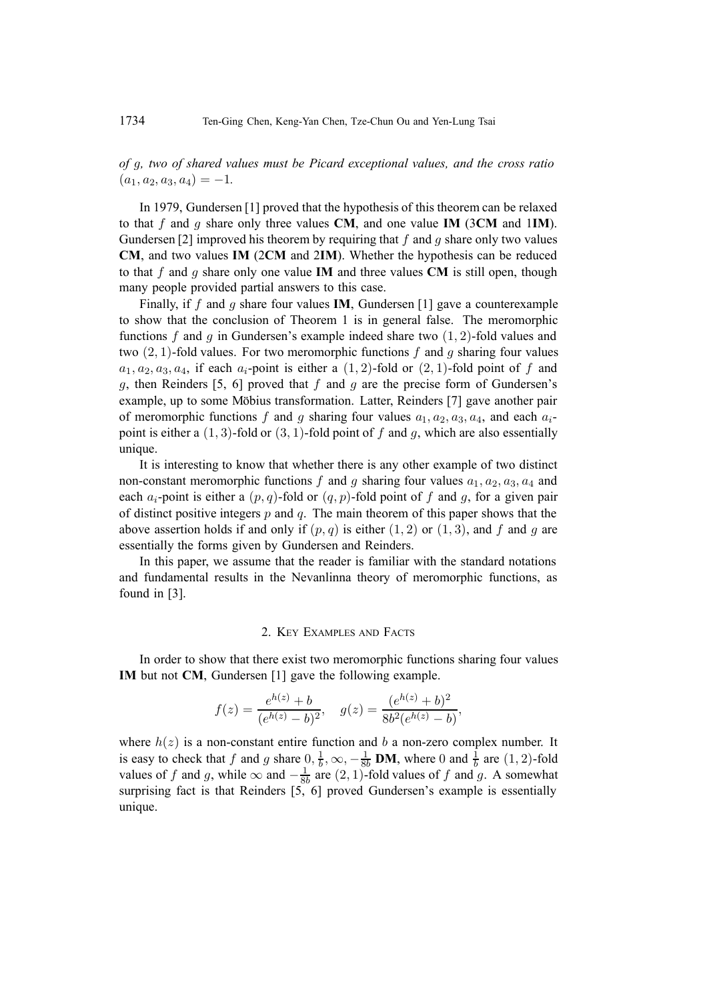*of g, two of shared values must be Picard exceptional values, and the cross ratio*  $(a_1, a_2, a_3, a_4) = -1.$ 

In 1979, Gundersen [1] proved that the hypothesis of this theorem can be relaxed to that *f* and *g* share only three values **CM**, and one value **IM** (3**CM** and 1**IM**). Gundersen [2] improved his theorem by requiring that *f* and *g* share only two values **CM**, and two values **IM** (2**CM** and 2**IM**). Whether the hypothesis can be reduced to that *f* and *g* share only one value **IM** and three values **CM** is still open, though many people provided partial answers to this case.

Finally, if *f* and *g* share four values **IM**, Gundersen [1] gave a counterexample to show that the conclusion of Theorem 1 is in general false. The meromorphic functions *f* and *g* in Gundersen's example indeed share two (1*,* 2)-fold values and two (2*,* 1)-fold values. For two meromorphic functions *f* and *g* sharing four values  $a_1, a_2, a_3, a_4$ , if each  $a_i$ -point is either a  $(1, 2)$ -fold or  $(2, 1)$ -fold point of *f* and *g*, then Reinders [5, 6] proved that *f* and *g* are the precise form of Gundersen's example, up to some Mobius transformation. Latter, Reinders [7] gave another pair of meromorphic functions f and g sharing four values  $a_1, a_2, a_3, a_4$ , and each  $a_i$ point is either a (1*,* 3)-fold or (3*,* 1)-fold point of *f* and *g*, which are also essentially unique.

It is interesting to know that whether there is any other example of two distinct non-constant meromorphic functions  $f$  and  $g$  sharing four values  $a_1, a_2, a_3, a_4$  and each  $a_i$ -point is either a  $(p, q)$ -fold or  $(q, p)$ -fold point of f and g, for a given pair of distinct positive integers *p* and *q*. The main theorem of this paper shows that the above assertion holds if and only if  $(p, q)$  is either  $(1, 2)$  or  $(1, 3)$ , and f and g are essentially the forms given by Gundersen and Reinders.

In this paper, we assume that the reader is familiar with the standard notations and fundamental results in the Nevanlinna theory of meromorphic functions, as found in [3].

#### 2. KEY EXAMPLES AND FACTS

In order to show that there exist two meromorphic functions sharing four values **IM** but not **CM**, Gundersen [1] gave the following example.

$$
f(z) = \frac{e^{h(z)} + b}{(e^{h(z)} - b)^2}, \quad g(z) = \frac{(e^{h(z)} + b)^2}{8b^2(e^{h(z)} - b)},
$$

where  $h(z)$  is a non-constant entire function and *b* a non-zero complex number. It is easy to check that f and a share  $0, \frac{1}{2}$  on  $\frac{1}{2}$  **DM** where  $0$  and  $\frac{1}{2}$  are  $(1, 2)$  fold is easy to check that *f* and *g* share  $0, \frac{1}{b}, \infty, -\frac{1}{8b}$  DM, where 0 and  $\frac{1}{b}$  are  $(1, 2)$ -fold values of *f* and *g* A somewhat values of *f* and *g*, while ∞ and  $-\frac{1}{8b}$  are  $(2, 1)$ -fold values of *f* and *g*. A somewhat surprising fact is that Reinders [5, 6] proved Gundersen's example is essentially surprising fact is that Reinders [5, 6] proved Gundersen's example is essentially unique.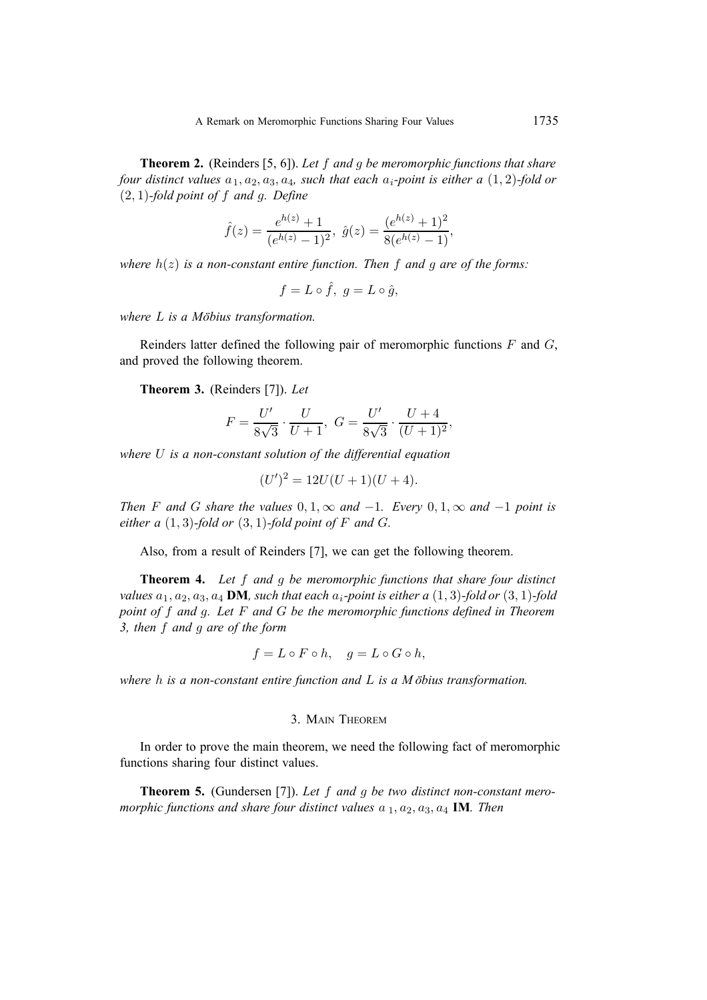**Theorem 2.** (Reinders [5, 6]). *Let f and g be meromorphic functions that share four distinct values <sup>a</sup>*1*, a*2*, a*3*, a*4*, such that each <sup>a</sup>i-point is either a* (1*,* 2)*-fold or* (2*,* 1)*-fold point of f and g. Define*

$$
\hat{f}(z) = \frac{e^{h(z)} + 1}{(e^{h(z)} - 1)^2}, \ \hat{g}(z) = \frac{(e^{h(z)} + 1)^2}{8(e^{h(z)} - 1)},
$$

*where*  $h(z)$  *is a non-constant entire function. Then*  $f$  *and*  $g$  *are of the forms:* 

$$
f = L \circ \hat{f}, \ g = L \circ \hat{g},
$$

*where <sup>L</sup> is a Mobius transformation. ¨*

Reinders latter defined the following pair of meromorphic functions *F* and *G*, and proved the following theorem.

**Theorem 3.** (Reinders [7]). *Let*

$$
F = \frac{U'}{8\sqrt{3}} \cdot \frac{U}{U+1}, \ G = \frac{U'}{8\sqrt{3}} \cdot \frac{U+4}{(U+1)^2},
$$

*where U is a non-constant solution of the differential equation*

$$
(U')^2 = 12U(U+1)(U+4).
$$

*Then F* and *G* share the values  $0, 1, \infty$  and  $-1$ *. Every*  $0, 1, \infty$  and  $-1$  point is *either a*  $(1, 3)$ -fold or  $(3, 1)$ -fold point of F and G.

Also, from a result of Reinders [7], we can get the following theorem.

**Theorem 4.** *Let f and g be meromorphic functions that share four distinct values*  $a_1, a_2, a_3, a_4$  **DM***, such that each*  $a_i$ -point is either a  $(1, 3)$ -fold or  $(3, 1)$ -fold *point of f and g. Let F and G be the meromorphic functions defined in Theorem 3, then f and g are of the form*

$$
f = L \circ F \circ h, \quad g = L \circ G \circ h,
$$

*where <sup>h</sup> is a non-constant entire function and <sup>L</sup> is a M obius transformation. ¨*

## 3. MAIN THEOREM

In order to prove the main theorem, we need the following fact of meromorphic functions sharing four distinct values.

**Theorem 5.** (Gundersen [7]). *Let f and g be two distinct non-constant meromorphic functions and share four distinct values*  $a_1, a_2, a_3, a_4$  **IM***. Then*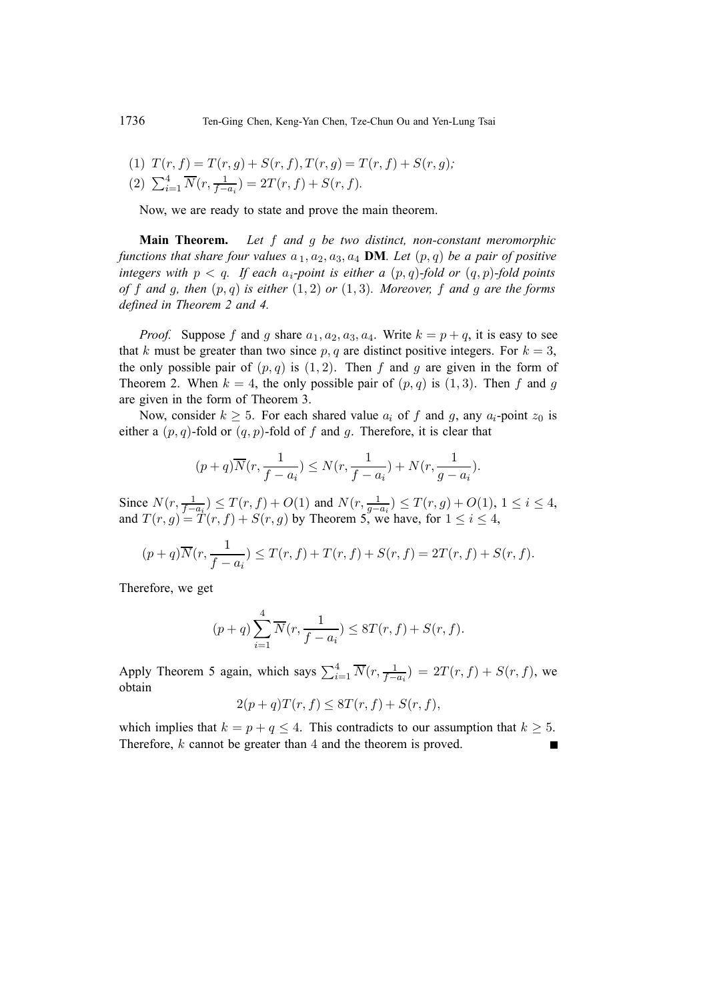(1) 
$$
T(r, f) = T(r, g) + S(r, f), T(r, g) = T(r, f) + S(r, g);
$$

(2) 
$$
\sum_{i=1}^{4} \overline{N}(r, \frac{1}{f-a_i}) = 2T(r, f) + S(r, f).
$$

Now, we are ready to state and prove the main theorem.

**Main Theorem.** *Let f and g be two distinct, non-constant meromorphic functions that share four values*  $a_1, a_2, a_3, a_4$  **DM***. Let*  $(p, q)$  *be a pair of positive integers with*  $p < q$ *. If each*  $a_i$ -point is either a  $(p, q)$ -fold or  $(q, p)$ -fold points *of f and g, then*  $(p, q)$  *is either*  $(1, 2)$  *or*  $(1, 3)$ *. Moreover, f and g are the forms defined in Theorem 2 and 4.*

*Proof.* Suppose f and g share  $a_1, a_2, a_3, a_4$ . Write  $k = p + q$ , it is easy to see that *k* must be greater than two since *p*, *q* are distinct positive integers. For  $k = 3$ , the only possible pair of  $(p, q)$  is  $(1, 2)$ . Then *f* and *g* are given in the form of Theorem 2. When  $k = 4$ , the only possible pair of  $(p, q)$  is  $(1, 3)$ . Then f and g are given in the form of Theorem 3.

Now, consider  $k \geq 5$ . For each shared value  $a_i$  of f and g, any  $a_i$ -point  $z_0$  is either a  $(p, q)$ -fold or  $(q, p)$ -fold of  $f$  and  $g$ . Therefore, it is clear that

$$
(p+q)\overline{N}(r,\frac{1}{f-a_i}) \le N(r,\frac{1}{f-a_i})+N(r,\frac{1}{g-a_i}).
$$

Since  $N(r, \frac{1}{f-a_i}) \leq T(r, f) + O(1)$  and  $N(r, \frac{1}{g-a_i}) \leq T(r, g) + O(1)$ ,  $1 \leq i \leq 4$ ,<br>and  $T(r, g) - T(r, f) + S(r, g)$  by Theorem 5, we have for  $1 \leq i \leq 4$ and  $T(r, g) = T(r, f) + S(r, g)$  by Theorem 5, we have, for  $1 \le i \le 4$ ,

$$
(p+q)\overline{N}(r, \frac{1}{f-a_i}) \le T(r, f) + T(r, f) + S(r, f) = 2T(r, f) + S(r, f).
$$

Therefore, we get

$$
(p+q)\sum_{i=1}^{4} \overline{N}(r, \frac{1}{f-a_i}) \le 8T(r, f) + S(r, f).
$$

Apply Theorem 5 again, which says  $\sum_{i=1}^{4} \overline{N}(r, \frac{1}{f-a_i}) = 2T(r, f) + S(r, f)$ , we obtain obtain

$$
2(p+q)T(r,f) \le 8T(r,f) + S(r,f),
$$

which implies that  $k = p + q \leq 4$ . This contradicts to our assumption that  $k \geq 5$ .<br>Therefore, k cannot be greater than 4 and the theorem is proved. Therefore, *k* cannot be greater than <sup>4</sup> and the theorem is proved.